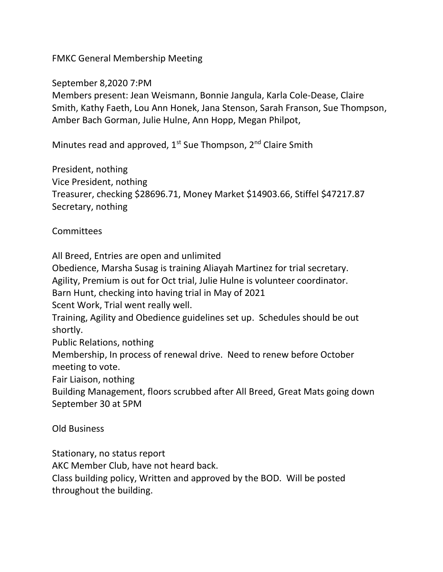FMKC General Membership Meeting

September 8,2020 7:PM

Members present: Jean Weismann, Bonnie Jangula, Karla Cole-Dease, Claire Smith, Kathy Faeth, Lou Ann Honek, Jana Stenson, Sarah Franson, Sue Thompson, Amber Bach Gorman, Julie Hulne, Ann Hopp, Megan Philpot,

Minutes read and approved,  $1^{st}$  Sue Thompson,  $2^{nd}$  Claire Smith

President, nothing Vice President, nothing Treasurer, checking \$28696.71, Money Market \$14903.66, Stiffel \$47217.87 Secretary, nothing

**Committees** 

All Breed, Entries are open and unlimited

Obedience, Marsha Susag is training Aliayah Martinez for trial secretary.

Agility, Premium is out for Oct trial, Julie Hulne is volunteer coordinator.

Barn Hunt, checking into having trial in May of 2021

Scent Work, Trial went really well.

Training, Agility and Obedience guidelines set up. Schedules should be out shortly.

Public Relations, nothing

Membership, In process of renewal drive. Need to renew before October meeting to vote.

Fair Liaison, nothing

Building Management, floors scrubbed after All Breed, Great Mats going down September 30 at 5PM

Old Business

Stationary, no status report

AKC Member Club, have not heard back.

Class building policy, Written and approved by the BOD. Will be posted throughout the building.